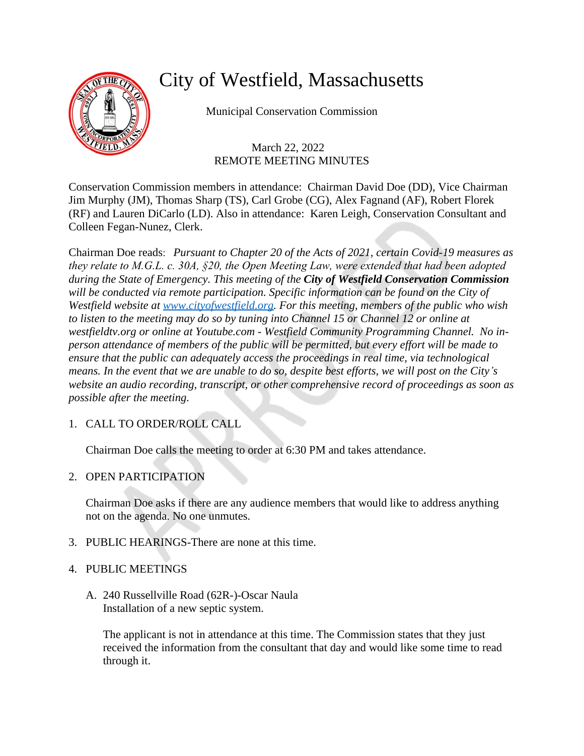

# City of Westfield, Massachusetts

Municipal Conservation Commission

 March 22, 2022 REMOTE MEETING MINUTES

Conservation Commission members in attendance: Chairman David Doe (DD), Vice Chairman Jim Murphy (JM), Thomas Sharp (TS), Carl Grobe (CG), Alex Fagnand (AF), Robert Florek (RF) and Lauren DiCarlo (LD). Also in attendance: Karen Leigh, Conservation Consultant and Colleen Fegan-Nunez, Clerk.

Chairman Doe reads: *Pursuant to Chapter 20 of the Acts of 2021, certain Covid-19 measures as they relate to M.G.L. c. 30A, §20, the Open Meeting Law, were extended that had been adopted during the State of Emergency. This meeting of the City of Westfield Conservation Commission*  will be conducted via remote participation. Specific information can be found on the City of *Westfield website at [www.cityofwestfield.org.](http://www.cityofwestfield.org) For this meeting, members of the public who wish to listen to the meeting may do so by tuning into Channel 15 or Channel 12 or online at westfieldtv.org or online at Youtube.com - Westfield Community Programming Channel. No inperson attendance of members of the public will be permitted, but every effort will be made to ensure that the public can adequately access the proceedings in real time, via technological means. In the event that we are unable to do so, despite best efforts, we will post on the City's website an audio recording, transcript, or other comprehensive record of proceedings as soon as possible after the meeting.*

# 1. CALL TO ORDER/ROLL CALL

Chairman Doe calls the meeting to order at 6:30 PM and takes attendance.

2. OPEN PARTICIPATION

Chairman Doe asks if there are any audience members that would like to address anything not on the agenda. No one unmutes.

- 3. PUBLIC HEARINGS-There are none at this time.
- 4. PUBLIC MEETINGS
	- A. 240 Russellville Road (62R-)-Oscar Naula Installation of a new septic system.

The applicant is not in attendance at this time. The Commission states that they just received the information from the consultant that day and would like some time to read through it.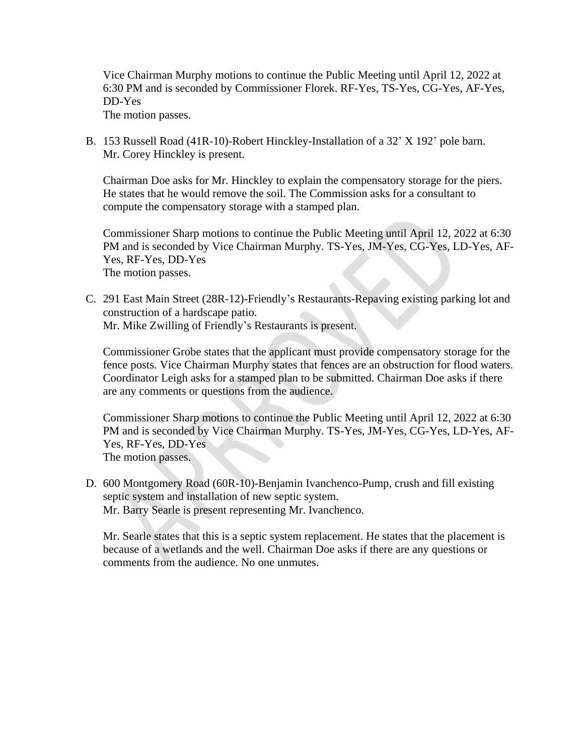Vice Chairman Murphy motions to continue the Public Meeting until April 12, 2022 at 6:30 PM and is seconded by Commissioner Florek. RF-Yes, TS-Yes, CG-Yes, AF-Yes, DD-Yes

The motion passes.

B. 153 Russell Road (41R-10)-Robert Hinckley-Installation of a 32' X 192' pole barn. Mr. Corey Hinckley is present.

Chairman Doe asks for Mr. Hinckley to explain the compensatory storage for the piers. He states that he would remove the soil. The Commission asks for a consultant to compute the compensatory storage with a stamped plan.

Commissioner Sharp motions to continue the Public Meeting until April 12, 2022 at 6:30 PM and is seconded by Vice Chairman Murphy. TS-Yes, JM-Yes, CG-Yes, LD-Yes, AF-Yes, RF-Yes, DD-Yes The motion passes.

C. 291 East Main Street (28R-12)-Friendly's Restaurants-Repaving existing parking lot and construction of a hardscape patio. Mr. Mike Zwilling of Friendly's Restaurants is present.

Commissioner Grobe states that the applicant must provide compensatory storage for the fence posts. Vice Chairman Murphy states that fences are an obstruction for flood waters. Coordinator Leigh asks for a stamped plan to be submitted. Chairman Doe asks if there are any comments or questions from the audience.

Commissioner Sharp motions to continue the Public Meeting until April 12, 2022 at 6:30 PM and is seconded by Vice Chairman Murphy. TS-Yes, JM-Yes, CG-Yes, LD-Yes, AF-Yes, RF-Yes, DD-Yes The motion passes.

D. 600 Montgomery Road (60R-10)-Benjamin Ivanchenco-Pump, crush and fill existing septic system and installation of new septic system. Mr. Barry Searle is present representing Mr. Ivanchenco.

Mr. Searle states that this is a septic system replacement. He states that the placement is because of a wetlands and the well. Chairman Doe asks if there are any questions or comments from the audience. No one unmutes.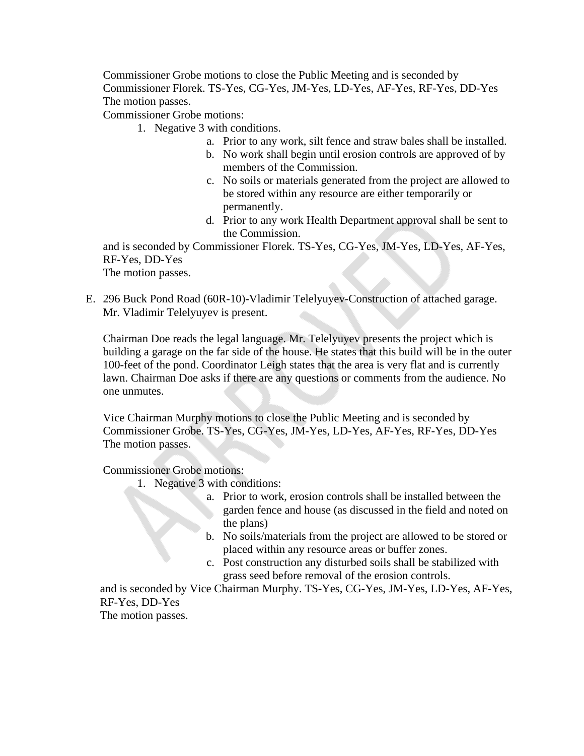Commissioner Grobe motions to close the Public Meeting and is seconded by Commissioner Florek. TS-Yes, CG-Yes, JM-Yes, LD-Yes, AF-Yes, RF-Yes, DD-Yes The motion passes.

Commissioner Grobe motions:

- 1. Negative 3 with conditions.
	- a. Prior to any work, silt fence and straw bales shall be installed.
	- b. No work shall begin until erosion controls are approved of by members of the Commission.
	- c. No soils or materials generated from the project are allowed to be stored within any resource are either temporarily or permanently.
	- d. Prior to any work Health Department approval shall be sent to the Commission.

and is seconded by Commissioner Florek. TS-Yes, CG-Yes, JM-Yes, LD-Yes, AF-Yes, RF-Yes, DD-Yes The motion passes.

E. 296 Buck Pond Road (60R-10)-Vladimir Telelyuyev-Construction of attached garage. Mr. Vladimir Telelyuyev is present.

Chairman Doe reads the legal language. Mr. Telelyuyev presents the project which is building a garage on the far side of the house. He states that this build will be in the outer 100-feet of the pond. Coordinator Leigh states that the area is very flat and is currently lawn. Chairman Doe asks if there are any questions or comments from the audience. No one unmutes.

Vice Chairman Murphy motions to close the Public Meeting and is seconded by Commissioner Grobe. TS-Yes, CG-Yes, JM-Yes, LD-Yes, AF-Yes, RF-Yes, DD-Yes The motion passes.

Commissioner Grobe motions:

- 1. Negative 3 with conditions:
	- a. Prior to work, erosion controls shall be installed between the garden fence and house (as discussed in the field and noted on the plans)
	- b. No soils/materials from the project are allowed to be stored or placed within any resource areas or buffer zones.
	- c. Post construction any disturbed soils shall be stabilized with grass seed before removal of the erosion controls.

and is seconded by Vice Chairman Murphy. TS-Yes, CG-Yes, JM-Yes, LD-Yes, AF-Yes, RF-Yes, DD-Yes

The motion passes.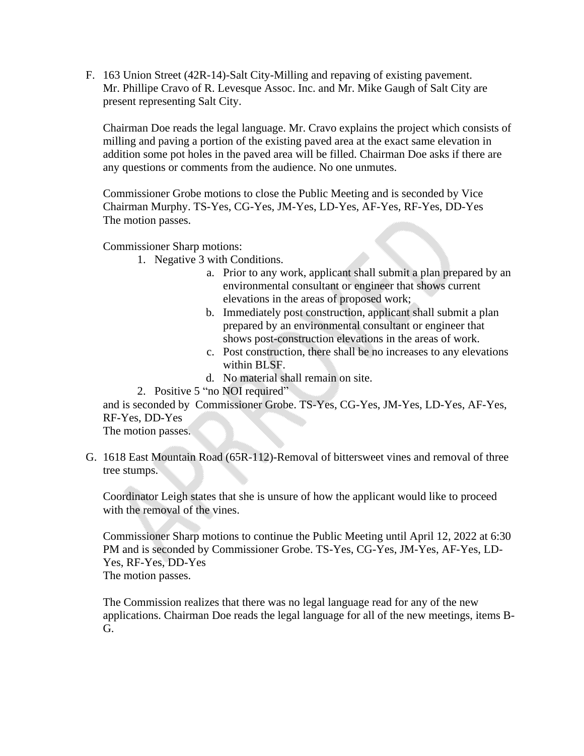F. 163 Union Street (42R-14)-Salt City-Milling and repaving of existing pavement. Mr. Phillipe Cravo of R. Levesque Assoc. Inc. and Mr. Mike Gaugh of Salt City are present representing Salt City.

Chairman Doe reads the legal language. Mr. Cravo explains the project which consists of milling and paving a portion of the existing paved area at the exact same elevation in addition some pot holes in the paved area will be filled. Chairman Doe asks if there are any questions or comments from the audience. No one unmutes.

Commissioner Grobe motions to close the Public Meeting and is seconded by Vice Chairman Murphy. TS-Yes, CG-Yes, JM-Yes, LD-Yes, AF-Yes, RF-Yes, DD-Yes The motion passes.

Commissioner Sharp motions:

- 1. Negative 3 with Conditions.
	- a. Prior to any work, applicant shall submit a plan prepared by an environmental consultant or engineer that shows current elevations in the areas of proposed work;
	- b. Immediately post construction, applicant shall submit a plan prepared by an environmental consultant or engineer that shows post-construction elevations in the areas of work.
	- c. Post construction, there shall be no increases to any elevations within BLSF.
	- d. No material shall remain on site.

2. Positive 5 "no NOI required"

and is seconded by Commissioner Grobe. TS-Yes, CG-Yes, JM-Yes, LD-Yes, AF-Yes, RF-Yes, DD-Yes

The motion passes.

G. 1618 East Mountain Road (65R-112)-Removal of bittersweet vines and removal of three tree stumps.

Coordinator Leigh states that she is unsure of how the applicant would like to proceed with the removal of the vines.

Commissioner Sharp motions to continue the Public Meeting until April 12, 2022 at 6:30 PM and is seconded by Commissioner Grobe. TS-Yes, CG-Yes, JM-Yes, AF-Yes, LD-Yes, RF-Yes, DD-Yes The motion passes.

The Commission realizes that there was no legal language read for any of the new applications. Chairman Doe reads the legal language for all of the new meetings, items B-G.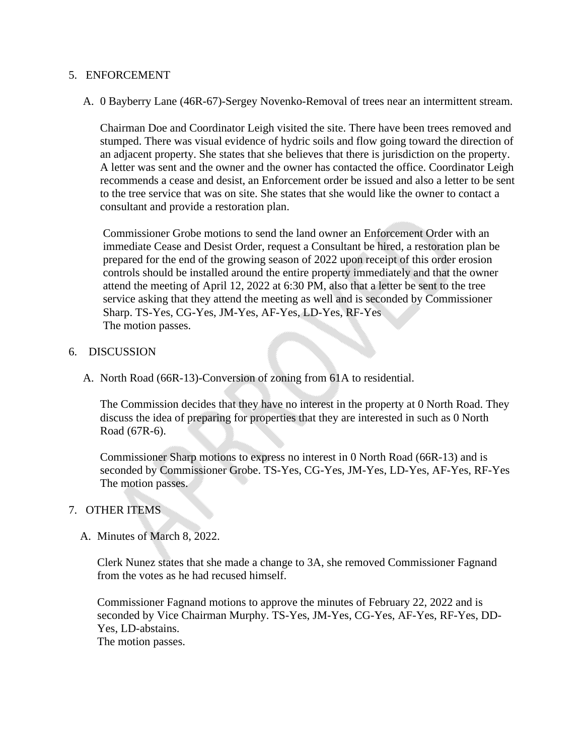#### 5. ENFORCEMENT

A. 0 Bayberry Lane (46R-67)-Sergey Novenko-Removal of trees near an intermittent stream.

Chairman Doe and Coordinator Leigh visited the site. There have been trees removed and stumped. There was visual evidence of hydric soils and flow going toward the direction of an adjacent property. She states that she believes that there is jurisdiction on the property. A letter was sent and the owner and the owner has contacted the office. Coordinator Leigh recommends a cease and desist, an Enforcement order be issued and also a letter to be sent to the tree service that was on site. She states that she would like the owner to contact a consultant and provide a restoration plan.

Commissioner Grobe motions to send the land owner an Enforcement Order with an immediate Cease and Desist Order, request a Consultant be hired, a restoration plan be prepared for the end of the growing season of 2022 upon receipt of this order erosion controls should be installed around the entire property immediately and that the owner attend the meeting of April 12, 2022 at 6:30 PM, also that a letter be sent to the tree service asking that they attend the meeting as well and is seconded by Commissioner Sharp. TS-Yes, CG-Yes, JM-Yes, AF-Yes, LD-Yes, RF-Yes The motion passes.

## 6. DISCUSSION

A. North Road (66R-13)-Conversion of zoning from 61A to residential.

The Commission decides that they have no interest in the property at 0 North Road. They discuss the idea of preparing for properties that they are interested in such as 0 North Road (67R-6).

Commissioner Sharp motions to express no interest in 0 North Road (66R-13) and is seconded by Commissioner Grobe. TS-Yes, CG-Yes, JM-Yes, LD-Yes, AF-Yes, RF-Yes The motion passes.

## 7. OTHER ITEMS

A. Minutes of March 8, 2022.

Clerk Nunez states that she made a change to 3A, she removed Commissioner Fagnand from the votes as he had recused himself.

Commissioner Fagnand motions to approve the minutes of February 22, 2022 and is seconded by Vice Chairman Murphy. TS-Yes, JM-Yes, CG-Yes, AF-Yes, RF-Yes, DD-Yes, LD-abstains.

The motion passes.